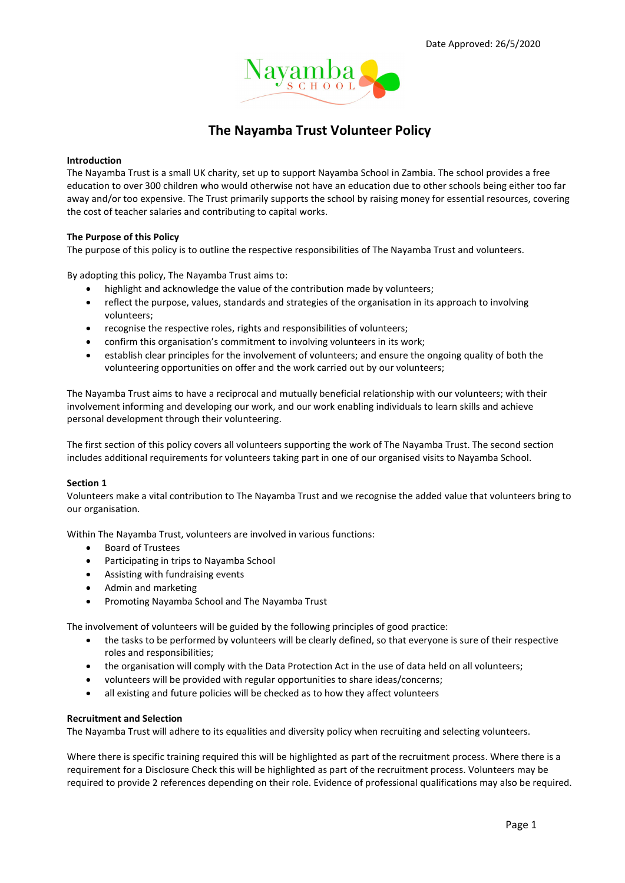

# The Nayamba Trust Volunteer Policy

#### Introduction

The Nayamba Trust is a small UK charity, set up to support Nayamba School in Zambia. The school provides a free education to over 300 children who would otherwise not have an education due to other schools being either too far away and/or too expensive. The Trust primarily supports the school by raising money for essential resources, covering the cost of teacher salaries and contributing to capital works.

### The Purpose of this Policy

The purpose of this policy is to outline the respective responsibilities of The Nayamba Trust and volunteers.

By adopting this policy, The Nayamba Trust aims to:

- highlight and acknowledge the value of the contribution made by volunteers;
- reflect the purpose, values, standards and strategies of the organisation in its approach to involving volunteers;
- recognise the respective roles, rights and responsibilities of volunteers;
- confirm this organisation's commitment to involving volunteers in its work;
- establish clear principles for the involvement of volunteers; and ensure the ongoing quality of both the volunteering opportunities on offer and the work carried out by our volunteers;

The Nayamba Trust aims to have a reciprocal and mutually beneficial relationship with our volunteers; with their involvement informing and developing our work, and our work enabling individuals to learn skills and achieve personal development through their volunteering.

The first section of this policy covers all volunteers supporting the work of The Nayamba Trust. The second section includes additional requirements for volunteers taking part in one of our organised visits to Nayamba School.

#### Section 1

Volunteers make a vital contribution to The Nayamba Trust and we recognise the added value that volunteers bring to our organisation.

Within The Nayamba Trust, volunteers are involved in various functions:

- Board of Trustees
- Participating in trips to Nayamba School
- Assisting with fundraising events
- Admin and marketing
- Promoting Nayamba School and The Nayamba Trust

The involvement of volunteers will be guided by the following principles of good practice:

- the tasks to be performed by volunteers will be clearly defined, so that everyone is sure of their respective roles and responsibilities;
- the organisation will comply with the Data Protection Act in the use of data held on all volunteers;
- volunteers will be provided with regular opportunities to share ideas/concerns;
- all existing and future policies will be checked as to how they affect volunteers

### Recruitment and Selection

The Nayamba Trust will adhere to its equalities and diversity policy when recruiting and selecting volunteers.

Where there is specific training required this will be highlighted as part of the recruitment process. Where there is a requirement for a Disclosure Check this will be highlighted as part of the recruitment process. Volunteers may be required to provide 2 references depending on their role. Evidence of professional qualifications may also be required.